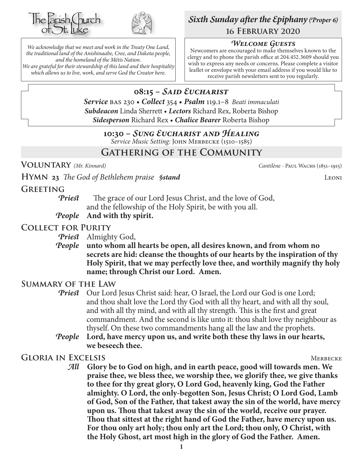



*We acknowledge that we meet and work in the Treaty One Land, the traditional land of the Anishinaabe, Cree, and Dakota people, and the homeland of the Métis Nation. We are grateful for their stewardship of this land and their hospitality which allows us to live, work, and serve God the Creator here.*

# *Sixth Sunday after the Epiphany (Proper 6)* **16 February 2020**

#### *Welcome Guests*

Newcomers are encouraged to make themselves known to the clergy and to phone the parish office at 204.452.3609 should you wish to express any needs or concerns. Please complete a visitor leaflet or envelope with your email address if you would like to receive parish newsletters sent to you regularly.

# **08:15 –** *Said Eucharist*

*Service* bas 230 • *Collect* 354 • *Psalm* 119.1–8 *Beati immaculati Subdeacon* Linda Sherrett • *Lectors* Richard Rex, Roberta Bishop *Sidesperson* Richard Rex • *Chalice Bearer* Roberta Bishop

#### **10:30 –** *Sung Eucharist and Healing*

*Service Music Setting:* John Merbecke (1510–1585)

# **Gathering of the Community**

**Voluntary** *(Mr. Kinnard) Cantilène -* Paul Wachs (1851–1915)

# **HYMN** 23 The God of Bethlehem praise *§stand* LEONI

## **Greeting**

*Priest* The grace of our Lord Jesus Christ, and the love of God, and the fellowship of the Holy Spirit, be with you all.

*People* **And with thy spirit.**

## **Collect for Purity**

*Priest* Almighty God,

#### *People* **unto whom all hearts be open, all desires known, and from whom no secrets are hid: cleanse the thoughts of our hearts by the inspiration of thy Holy Spirit, that we may perfectly love thee, and worthily magnify thy holy name; through Christ our Lord. Amen.**

## **Summary of the Law**

**Priest** Our Lord Jesus Christ said: hear, O Israel, the Lord our God is one Lord; and thou shalt love the Lord thy God with all thy heart, and with all thy soul, and with all thy mind, and with all thy strength. This is the first and great commandment. And the second is like unto it: thou shalt love thy neighbour as thyself. On these two commandments hang all the law and the prophets.

*People* **Lord, have mercy upon us, and write both these thy laws in our hearts, we beseech thee.**

## **GLORIA IN EXCELSIS** MERICULARY MERICAL MERICAL MERICAL MERICAL MERICAL MERICAL MERICAL MERICAL MERICAL MERICAL MERICAL MERICAL MERICAL MERICAL MERICAL MERICAL MERICAL MERICAL MERICAL MERICAL MERICAL MERICAL MERICAL MERICA

*All* **Glory be to God on high, and in earth peace, good will towards men. We praise thee, we bless thee, we worship thee, we glorify thee, we give thanks to thee for thy great glory, O Lord God, heavenly king, God the Father almighty. O Lord, the only-begotten Son, Jesus Christ; O Lord God, Lamb of God, Son of the Father, that takest away the sin of the world, have mercy upon us. Thou that takest away the sin of the world, receive our prayer. Thou that sittest at the right hand of God the Father, have mercy upon us. For thou only art holy; thou only art the Lord; thou only, O Christ, with the Holy Ghost, art most high in the glory of God the Father. Amen.**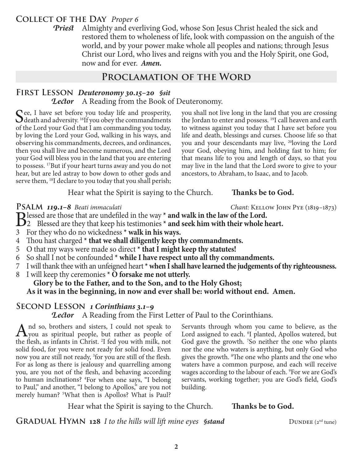## **Collect of the Day** *Proper 6*

*Priest* Almighty and everliving God, whose Son Jesus Christ healed the sick and restored them to wholeness of life, look with compassion on the anguish of the world, and by your power make whole all peoples and nations; through Jesus Christ our Lord, who lives and reigns with you and the Holy Spirit, one God, now and for ever.*Amen.*

# **Proclamation of the Word**

## **First Lesson** *Deuteronomy 30.15–20 §sit Lector* A Reading from the Book of Deuteronomy.

See, I have set before you today life and prosperity, death and adversity. <sup>16</sup>If you obey the commandments of the Lord your God that I am commanding you today, by loving the Lord your God, walking in his ways, and observing his commandments, decrees, and ordinances, then you shall live and become numerous, and the Lord your God will bless you in the land that you are entering to possess. 17But if your heart turns away and you do not hear, but are led astray to bow down to other gods and serve them, <sup>18</sup>I declare to you today that you shall perish;

you shall not live long in the land that you are crossing the Jordan to enter and possess. 19I call heaven and earth to witness against you today that I have set before you life and death, blessings and curses. Choose life so that you and your descendants may live, 20loving the Lord your God, obeying him, and holding fast to him; for that means life to you and length of days, so that you may live in the land that the Lord swore to give to your ancestors, to Abraham, to Isaac, and to Jacob.

Hear what the Spirit is saying to the Church. Thanks be to God.

**PSALM 119.1–8** *Beati immaculati Chant: KELLOW JOHN PYE* (1819–1873)<br>**D** lessed are those that are undefiled in the way \* **and walk in the law of the Lord.** 

Blessed are those that are undefiled in the way **\* and walk in the law of the Lord.**<br>
2 Blessed are they that keep his testimonies **\* and seek him with their whole heart.**<br>
2 Earthway he do no wishedness **\* wall in his way** 

- 3 For they who do no wickedness **\* walk in his ways.**
- 4 Thou hast charged **\* that we shall diligently keep thy commandments.**
- 5 O that my ways were made so direct **\* that I might keep thy statutes!**
- 6 So shall I not be confounded **\* while I have respect unto all thy commandments.**
- 7 I will thank thee with an unfeigned heart **\* when I shall have learned the judgements of thy righteousness.**
- 8 I will keep thy ceremonies **\* O forsake me not utterly.**

#### **Glory be to the Father, and to the Son, and to the Holy Ghost; As it was in the beginning, in now and ever shall be: world without end. Amen.**

## **Second Lesson** *1 Corinthians 3.1–9*

*Lector* A Reading from the First Letter of Paul to the Corinthians.

And so, brothers and sisters, I could not speak to you as spiritual people, but rather as people of the flash as infects in Christ <sup>21</sup> fed aggregath mills not the flesh, as infants in Christ. 2 I fed you with milk, not solid food, for you were not ready for solid food. Even now you are still not ready, <sup>3</sup> for you are still of the flesh. For as long as there is jealousy and quarrelling among you, are you not of the flesh, and behaving according to human inclinations? <sup>4</sup>For when one says, "I belong to Paul," and another, "I belong to Apollos," are you not merely human? 5 What then is Apollos? What is Paul? Servants through whom you came to believe, as the Lord assigned to each. <sup>6</sup>I planted, Apollos watered, but God gave the growth. <sup>7</sup>So neither the one who plants nor the one who waters is anything, but only God who gives the growth. 8 The one who plants and the one who waters have a common purpose, and each will receive wages according to the labour of each. 9 For we are God's servants, working together; you are God's field, God's building.

Hear what the Spirit is saying to the Church. **Thanks be to God.** 

**GRADUAL HYMN 128** *I to the hills will lift mine eyes Sstand* DUNDEE (2<sup>nd</sup> tune)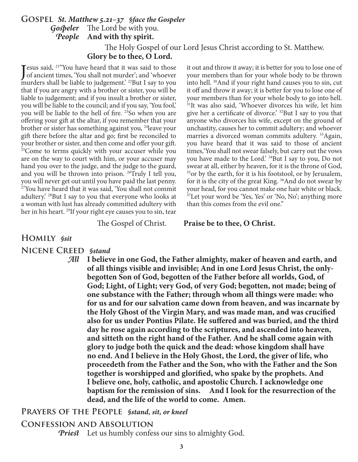## **Gospel** *St. Matthew 5.21–37 §face the Gospeler Gospeler* The Lord be with you. *People* **And with thy spirit.** The Holy Gospel of our Lord Jesus Christ according to St. Matthew.

**Glory be to thee, O Lord.**

Jesus said, <sup>21"</sup>You have heard that it was said to those<br>of ancient times, 'You shall not murder'; and 'whoever of ancient times, 'You shall not murder'; and 'whoever murders shall be liable to judgement.' <sup>22</sup>But I say to you that if you are angry with a brother or sister, you will be liable to judgement; and if you insult a brother or sister, you will be liable to the council; and if you say, 'You fool,' you will be liable to the hell of fire. <sup>23</sup>So when you are offering your gift at the altar, if you remember that your brother or sister has something against you, 24leave your gift there before the altar and go; first be reconciled to your brother or sister, and then come and offer your gift. <sup>25</sup>Come to terms quickly with your accuser while you are on the way to court with him, or your accuser may hand you over to the judge, and the judge to the guard, and you will be thrown into prison. 26Truly I tell you, you will never get out until you have paid the last penny. 27You have heard that it was said, 'You shall not commit adultery.' 28But I say to you that everyone who looks at a woman with lust has already committed adultery with her in his heart. <sup>29</sup>If your right eye causes you to sin, tear

it out and throw it away; it is better for you to lose one of your members than for your whole body to be thrown into hell. 30And if your right hand causes you to sin, cut it off and throw it away; it is better for you to lose one of your members than for your whole body to go into hell. <sup>31</sup>It was also said, 'Whoever divorces his wife, let him give her a certificate of divorce.' <sup>32</sup>But I say to you that anyone who divorces his wife, except on the ground of unchastity, causes her to commit adultery; and whoever marries a divorced woman commits adultery.<sup>33</sup>Again, you have heard that it was said to those of ancient times,'You shall not swear falsely, but carry out the vows you have made to the Lord.' 34But I say to you, Do not swear at all, either by heaven, for it is the throne of God, <sup>35</sup> or by the earth, for it is his footstool, or by Jerusalem, for it is the city of the great King. 36And do not swear by your head, for you cannot make one hair white or black. <sup>37</sup>Let your word be 'Yes, Yes' or 'No, No'; anything more than this comes from the evil one."

The Gospel of Christ. **Praise be to thee, O Christ.**

# **Homily** *§sit*

**Nicene Creed** *§stand*

*All* **I believe in one God, the Father almighty, maker of heaven and earth, and of all things visible and invisible; And in one Lord Jesus Christ, the onlybegotten Son of God, begotten of the Father before all worlds, God, of God; Light, of Light; very God, of very God; begotten, not made; being of one substance with the Father; through whom all things were made: who for us and for our salvation came down from heaven, and was incarnate by the Holy Ghost of the Virgin Mary, and was made man, and was crucified also for us under Pontius Pilate. He suffered and was buried, and the third day he rose again according to the scriptures, and ascended into heaven, and sitteth on the right hand of the Father. And he shall come again with glory to judge both the quick and the dead: whose kingdom shall have no end. And I believe in the Holy Ghost, the Lord, the giver of life, who proceedeth from the Father and the Son, who with the Father and the Son together is worshipped and glorified, who spake by the prophets. And I believe one, holy, catholic, and apostolic Church. I acknowledge one baptism for the remission of sins. And I look for the resurrection of the dead, and the life of the world to come. Amen.**

#### **Prayers of the People** *§stand, sit, or kneel*

#### **Confession and Absolution**

*Priest* Let us humbly confess our sins to almighty God.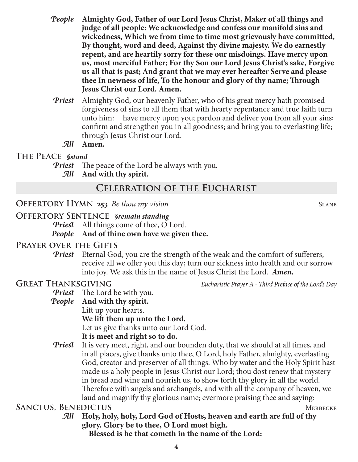- *People* **Almighty God, Father of our Lord Jesus Christ, Maker of all things and judge of all people: We acknowledge and confess our manifold sins and wickedness, Which we from time to time most grievously have committed, By thought, word and deed, Against thy divine majesty. We do earnestly repent, and are heartily sorry for these our misdoings. Have mercy upon us, most merciful Father; For thy Son our Lord Jesus Christ's sake, Forgive us all that is past; And grant that we may ever hereafter Serve and please thee In newness of life, To the honour and glory of thy name; Through Jesus Christ our Lord. Amen.**
- *Priest* Almighty God, our heavenly Father, who of his great mercy hath promised forgiveness of sins to all them that with hearty repentance and true faith turn unto him: have mercy upon you; pardon and deliver you from all your sins; confirm and strengthen you in all goodness; and bring you to everlasting life; through Jesus Christ our Lord.
	- *All* **Amen.**

#### **The Peace** *§stand*

- *Priest* The peace of the Lord be always with you.
	- *All* **And with thy spirit.**

# **Celebration of the Eucharist**

#### **OFFERTORY HYMN 253** *Be thou my vision* SLANE

#### **Offertory Sentence** *§remain standing*

*Priest* All things come of thee, O Lord. *People* **And of thine own have we given thee.**

## **Prayer over the Gifts**

*Priest* Eternal God, you are the strength of the weak and the comfort of sufferers, receive all we offer you this day; turn our sickness into health and our sorrow into joy. We ask this in the name of Jesus Christ the Lord. *Amen.*

**GREAT THANKSGIVING** *Eucharistic Prayer A - Third Preface of the Lord's Day* 

*Priest* The Lord be with you.

- *People* **And with thy spirit.** Lift up your hearts. **We lift them up unto the Lord.** Let us give thanks unto our Lord God. **It is meet and right so to do.**
- *Priest* It is very meet, right, and our bounden duty, that we should at all times, and in all places, give thanks unto thee, O Lord, holy Father, almighty, everlasting God, creator and preserver of all things. Who by water and the Holy Spirit hast made us a holy people in Jesus Christ our Lord; thou dost renew that mystery in bread and wine and nourish us, to show forth thy glory in all the world. Therefore with angels and archangels, and with all the company of heaven, we laud and magnify thy glorious name; evermore praising thee and saying:

## **SANCTUS, BENEDICTUS** MERBECKE

*All* **Holy, holy, holy, Lord God of Hosts, heaven and earth are full of thy glory. Glory be to thee, O Lord most high.**

 **Blessed is he that cometh in the name of the Lord:**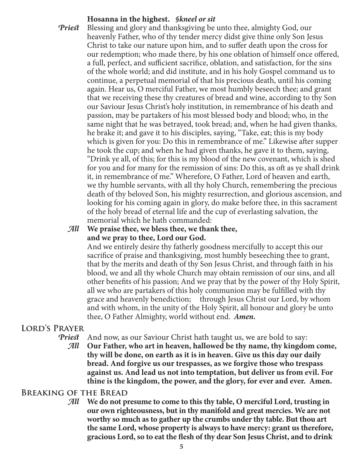## **Hosanna in the highest.** *§kneel or sit*

*Priest* Blessing and glory and thanksgiving be unto thee, almighty God, our heavenly Father, who of thy tender mercy didst give thine only Son Jesus Christ to take our nature upon him, and to suffer death upon the cross for our redemption; who made there, by his one oblation of himself once offered, a full, perfect, and sufficient sacrifice, oblation, and satisfaction, for the sins of the whole world; and did institute, and in his holy Gospel command us to continue, a perpetual memorial of that his precious death, until his coming again. Hear us, O merciful Father, we most humbly beseech thee; and grant that we receiving these thy creatures of bread and wine, according to thy Son our Saviour Jesus Christ's holy institution, in remembrance of his death and passion, may be partakers of his most blessed body and blood; who, in the same night that he was betrayed, took bread; and, when he had given thanks, he brake it; and gave it to his disciples, saying, "Take, eat; this is my body which is given for you: Do this in remembrance of me." Likewise after supper he took the cup; and when he had given thanks, he gave it to them, saying, "Drink ye all, of this; for this is my blood of the new covenant, which is shed for you and for many for the remission of sins: Do this, as oft as ye shall drink it, in remembrance of me." Wherefore, O Father, Lord of heaven and earth, we thy humble servants, with all thy holy Church, remembering the precious death of thy beloved Son, his mighty resurrection, and glorious ascension, and looking for his coming again in glory, do make before thee, in this sacrament of the holy bread of eternal life and the cup of everlasting salvation, the memorial which he hath commanded:

#### *All* **We praise thee, we bless thee, we thank thee, and we pray to thee, Lord our God.**

 And we entirely desire thy fatherly goodness mercifully to accept this our sacrifice of praise and thanksgiving, most humbly beseeching thee to grant, that by the merits and death of thy Son Jesus Christ, and through faith in his blood, we and all thy whole Church may obtain remission of our sins, and all other benefits of his passion; And we pray that by the power of thy Holy Spirit, all we who are partakers of this holy communion may be fulfilled with thy grace and heavenly benediction; through Jesus Christ our Lord, by whom and with whom, in the unity of the Holy Spirit, all honour and glory be unto thee, O Father Almighty, world without end. *Amen.*

# **Lord's Prayer**

- *Priest* And now, as our Saviour Christ hath taught us, we are bold to say:
	- *All* **Our Father, who art in heaven, hallowed be thy name, thy kingdom come, thy will be done, on earth as it is in heaven. Give us this day our daily bread. And forgive us our trespasses, as we forgive those who trespass against us. And lead us not into temptation, but deliver us from evil. For thine is the kingdom, the power, and the glory, for ever and ever. Amen.**

## **Breaking of the Bread**

*All* **We do not presume to come to this thy table, O merciful Lord, trusting in our own righteousness, but in thy manifold and great mercies. We are not worthy so much as to gather up the crumbs under thy table. But thou art the same Lord, whose property is always to have mercy: grant us therefore, gracious Lord, so to eat the flesh of thy dear Son Jesus Christ, and to drink**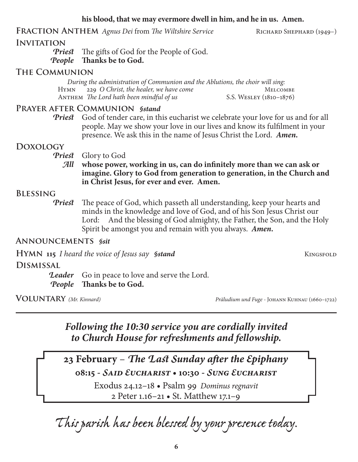## **his blood, that we may evermore dwell in him, and he in us. Amen.**

FRACTION ANTHEM *Agnus Dei* from *The Wiltshire Service* RICHARD SHEPHARD (1949–)

## **INVITATION**

*Priest* The gifts of God for the People of God. *People* **Thanks be to God.**

## **The Communion**

*During the administration of Communion and the Ablutions, the choir will sing:* HYMN 229 *O Christ, the healer, we have come* MELCOMBE ANTHEM *The Lord hath been mindful of us* S.S. WESLEY (1810–1876)

#### **Prayer after Communion** *§stand*

*Priest* God of tender care, in this eucharist we celebrate your love for us and for all people. May we show your love in our lives and know its fulfilment in your presence. We ask this in the name of Jesus Christ the Lord. *Amen.*

#### **Doxology**

*Priest* Glory to God

*All* **whose power, working in us, can do infinitely more than we can ask or imagine. Glory to God from generation to generation, in the Church and in Christ Jesus, for ever and ever. Amen.**

#### **Blessing**

*Priest* The peace of God, which passeth all understanding, keep your hearts and minds in the knowledge and love of God, and of his Son Jesus Christ our Lord: And the blessing of God almighty, the Father, the Son, and the Holy Spirit be amongst you and remain with you always. *Amen.*

## **Announcements** *§sit*

**HYMN** 115 *I heard the voice of Jesus say §stand* KINGSFOLD

## **Dismissal**

**Leader** Go in peace to love and serve the Lord. *People* **Thanks be to God.**

**Voluntary** *(Mr. Kinnard) Präludium und Fuge -* Johann Kuhnau (1660–1722)

# *Following the 10:30 service you are cordially invited to Church House for refreshments and fellowship.*

**23 February** – *The Last Sunday after the Epiphany* **08:15 -** *Said Eucharist* **• 10:30 -** *Sung Eucharist*

> Exodus 24.12–18 • Psalm 99 *Dominus regnavit* 2 Peter 1.16–21 • St. Matthew 17.1–9

*This parish has been blessed by your presence today.*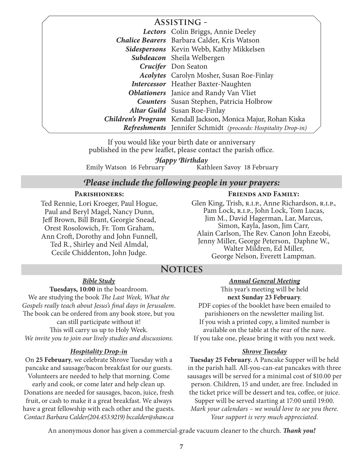| <b>ASSISTING -</b> |                                                                      |
|--------------------|----------------------------------------------------------------------|
|                    | Lectors Colin Briggs, Annie Deeley                                   |
|                    | <b>Chalice Bearers</b> Barbara Calder, Kris Watson                   |
|                    | Sidespersons Kevin Webb, Kathy Mikkelsen                             |
|                    | Subdeacon Sheila Welbergen                                           |
|                    | <b>Crucifer</b> Don Seaton                                           |
|                    | <b>Acolytes</b> Carolyn Mosher, Susan Roe-Finlay                     |
|                    | <b>Intercessor</b> Heather Baxter-Naughten                           |
|                    | <b>Oblationers</b> Janice and Randy Van Vliet                        |
|                    | <b>Counters</b> Susan Stephen, Patricia Holbrow                      |
|                    | Altar Guild Susan Roe-Finlay                                         |
|                    | Children's Program Kendall Jackson, Monica Majur, Rohan Kiska        |
|                    | <b>Refreshments</b> Jennifer Schmidt (proceeds: Hospitality Drop-in) |

If you would like your birth date or anniversary published in the pew leaflet, please contact the parish office.

Emily Watson 16 February Kathleen Savoy 18 February *Happy Birthday*

## *Please include the following people in your prayers:*

#### **Parishioners:**

Ted Rennie, Lori Kroeger, Paul Hogue, Paul and Beryl Magel, Nancy Dunn, Jeff Brown, Bill Brant, Georgie Snead, Orest Rosolowich, Fr. Tom Graham, Ann Croft, Dorothy and John Funnell, Ted R., Shirley and Neil Almdal, Cecile Chiddenton, John Judge.

#### **Friends and Family:**

Glen King, Trish, R.I.P., Anne Richardson, R.I.P., Pam Lock, R.I.P., John Lock, Tom Lucas, Jim M., David Hagerman, Lar, Marcus, Simon, Kayla, Jason, Jim Carr, Alain Carlson, The Rev. Canon John Ezeobi, Jenny Miller, George Peterson, Daphne W., Walter Mildren, Ed Miller, George Nelson, Everett Lampman.

# **Notices**

*Bible Study*

**Tuesdays, 10:00** in the boardroom. We are studying the book *The Last Week, What the Gospels really teach about Jesus's final days in Jerusalem*. The book can be ordered from any book store, but you can still participate without it! This will carry us up to Holy Week. *We invite you to join our lively studies and discussions.*

#### *Hospitality Drop-in*

On **25 February**, we celebrate Shrove Tuesday with a pancake and sausage/bacon breakfast for our guests. Volunteers are needed to help that morning. Come

early and cook, or come later and help clean up. Donations are needed for sausages, bacon, juice, fresh fruit, or cash to make it a great breakfast. We always have a great fellowship with each other and the guests. *Contact Barbara Calder(204.453.9219) bccalder@shaw.ca*

*Annual General Meeting*

This year's meeting will be held **next Sunday 23 February**. PDF copies of the booklet have been emailed to parishioners on the newsletter mailing list. If you wish a printed copy, a limited number is available on the table at the rear of the nave. If you take one, please bring it with you next week.

#### *Shrove Tuesday*

**Tuesday 25 February.** A Pancake Supper will be held in the parish hall. All-you-can-eat pancakes with three sausages will be served for a minimal cost of \$10.00 per person. Children, 15 and under, are free. Included in the ticket price will be dessert and tea, coffee, or juice. Supper will be served starting at 17:00 until 19:00. *Mark your calendars – we would love to see you there. Your support is very much appreciated.*

An anonymous donor has given a commercial-grade vacuum cleaner to the church. *Thank you!*